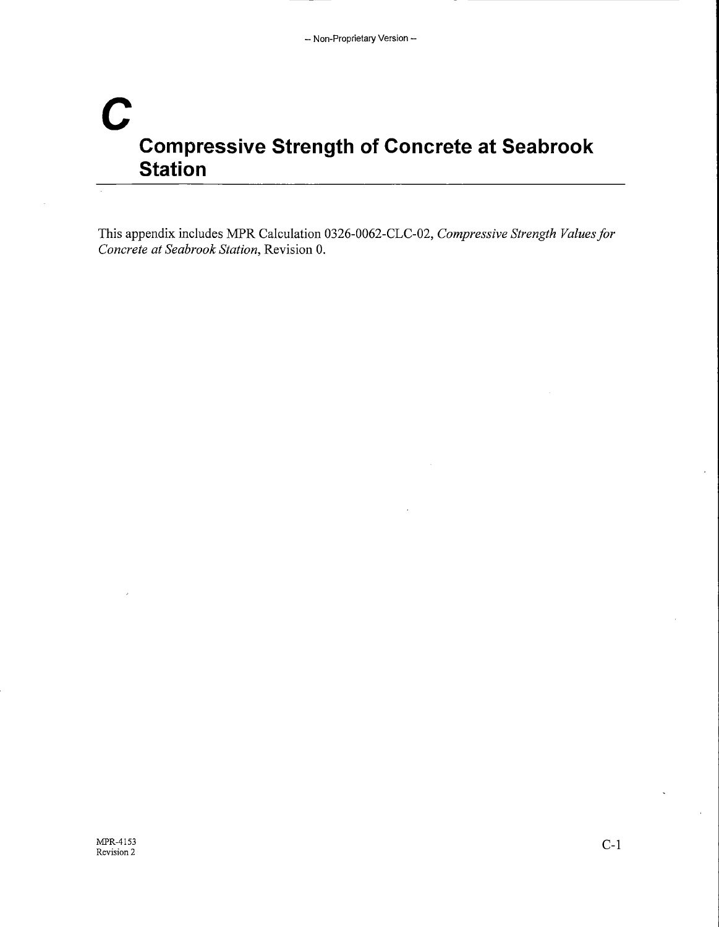## **c Compressive Strength of Concrete at Seabrook Station**

This appendix includes MPR Calculation 0326-0062-CLC-02, *Compressive Strength Values for Concrete at Seabrook Station,* Revision 0.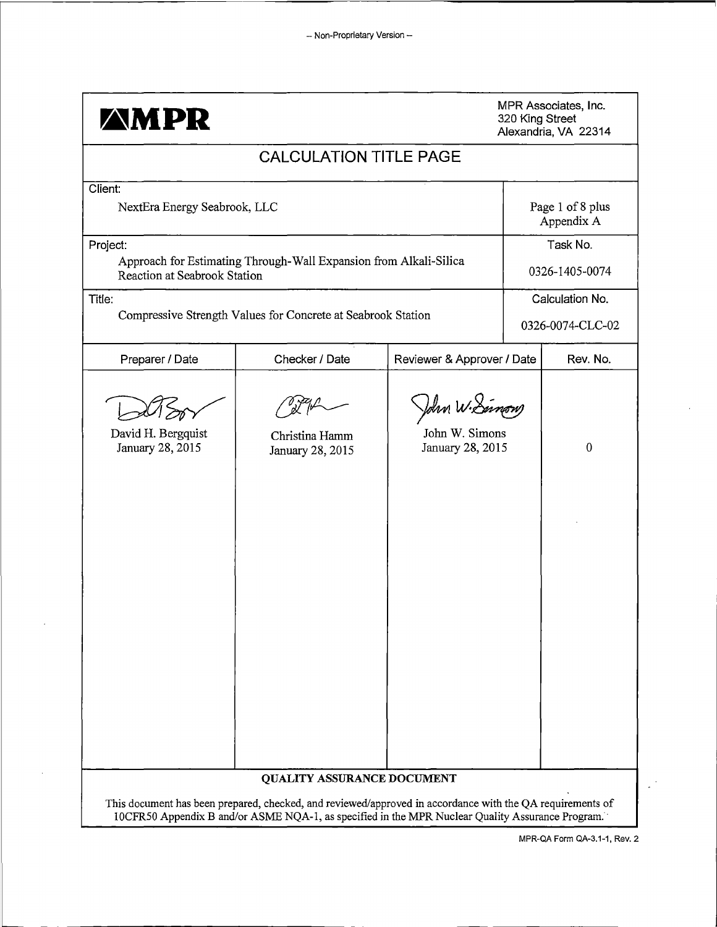| <b>AMPR</b>                              |                                                                                                                                                                                                               |                                                    | 320 King Street | MPR Associates, Inc.<br>Alexandria, VA 22314 |
|------------------------------------------|---------------------------------------------------------------------------------------------------------------------------------------------------------------------------------------------------------------|----------------------------------------------------|-----------------|----------------------------------------------|
|                                          | <b>CALCULATION TITLE PAGE</b>                                                                                                                                                                                 |                                                    |                 |                                              |
| Client:<br>NextEra Energy Seabrook, LLC  |                                                                                                                                                                                                               |                                                    |                 | Page 1 of 8 plus<br>Appendix A               |
| Project:<br>Reaction at Seabrook Station | Approach for Estimating Through-Wall Expansion from Alkali-Silica                                                                                                                                             |                                                    |                 | Task No.<br>0326-1405-0074                   |
| Title:                                   | Compressive Strength Values for Concrete at Seabrook Station                                                                                                                                                  |                                                    |                 | Calculation No.<br>0326-0074-CLC-02          |
| Preparer / Date                          | Checker / Date                                                                                                                                                                                                | Reviewer & Approver / Date                         |                 | Rev. No.                                     |
| David H. Bergquist<br>January 28, 2015   | Christina Hamm<br>January 28, 2015                                                                                                                                                                            | John W.Samon<br>John W. Simons<br>January 28, 2015 |                 | $\boldsymbol{0}$                             |
|                                          | QUALITY ASSURANCE DOCUMENT                                                                                                                                                                                    |                                                    |                 |                                              |
|                                          | This document has been prepared, checked, and reviewed/approved in accordance with the QA requirements of<br>10CFR50 Appendix B and/or ASME NQA-1, as specified in the MPR Nuclear Quality Assurance Program. |                                                    |                 |                                              |

MPR-QA Form QA-3.1-1, Rev. 2

 $\bar{z}$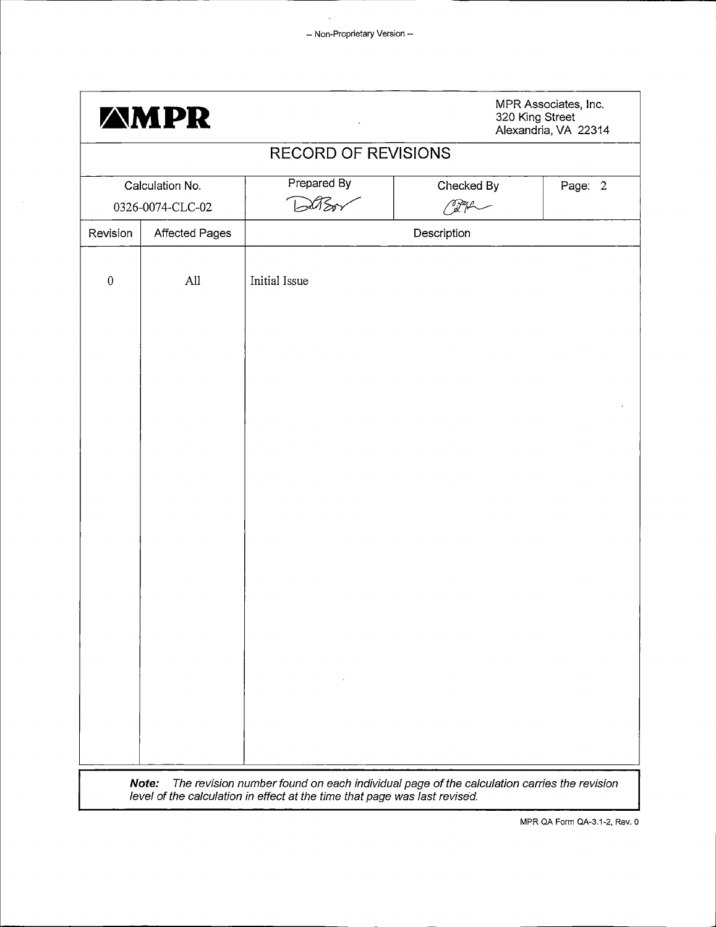$\ddot{\phantom{a}}$ 

| Revision<br>$\boldsymbol{0}$ | <b>Affected Pages</b> | <b>RECORD OF REVISIONS</b><br>Prepared By<br>ロゴ | Checked By  | Page: 2 |  |  |  |  |  |
|------------------------------|-----------------------|-------------------------------------------------|-------------|---------|--|--|--|--|--|
|                              |                       |                                                 |             |         |  |  |  |  |  |
|                              |                       | Calculation No.<br>- Andrew<br>0326-0074-CLC-02 |             |         |  |  |  |  |  |
|                              |                       |                                                 | Description |         |  |  |  |  |  |
|                              | All                   | Initial Issue                                   |             |         |  |  |  |  |  |
|                              |                       |                                                 |             |         |  |  |  |  |  |
|                              |                       |                                                 |             |         |  |  |  |  |  |
|                              |                       |                                                 |             |         |  |  |  |  |  |
|                              |                       |                                                 |             |         |  |  |  |  |  |
|                              |                       |                                                 |             |         |  |  |  |  |  |
|                              |                       |                                                 |             |         |  |  |  |  |  |
|                              |                       |                                                 |             |         |  |  |  |  |  |

 $\overline{\phantom{a}}$ 

MPR QA Form QA-3.1-2, Rev. 0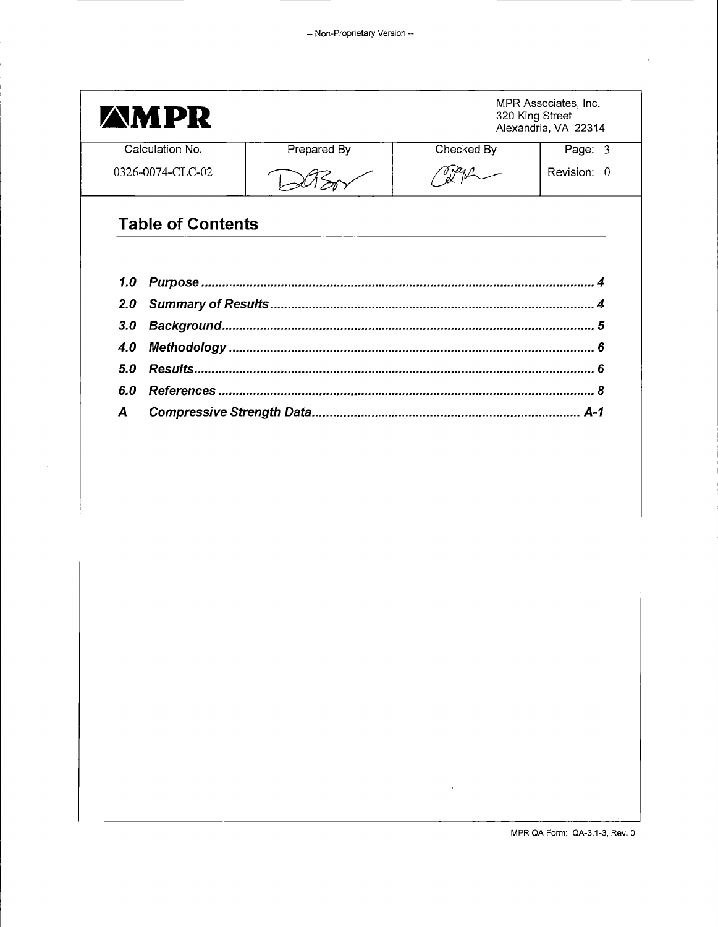$\bar{\beta}$ 

|     | <b>AMPR</b>              |             | MPR Associates, Inc.<br>320 King Street<br>Alexandria, VA 22314 |             |  |  |
|-----|--------------------------|-------------|-----------------------------------------------------------------|-------------|--|--|
|     | Calculation No.          | Prepared By | Checked By                                                      | Page: 3     |  |  |
|     | 0326-0074-CLC-02         |             |                                                                 | Revision: 0 |  |  |
|     | <b>Table of Contents</b> |             |                                                                 |             |  |  |
| 1.0 |                          |             |                                                                 |             |  |  |
| 2.0 |                          |             |                                                                 |             |  |  |
| 3.0 |                          |             |                                                                 |             |  |  |
| 4.0 |                          |             |                                                                 |             |  |  |
| 5.0 |                          |             |                                                                 |             |  |  |
| 6.0 |                          |             |                                                                 |             |  |  |
| A   |                          |             |                                                                 |             |  |  |
|     |                          |             |                                                                 |             |  |  |
|     |                          |             |                                                                 |             |  |  |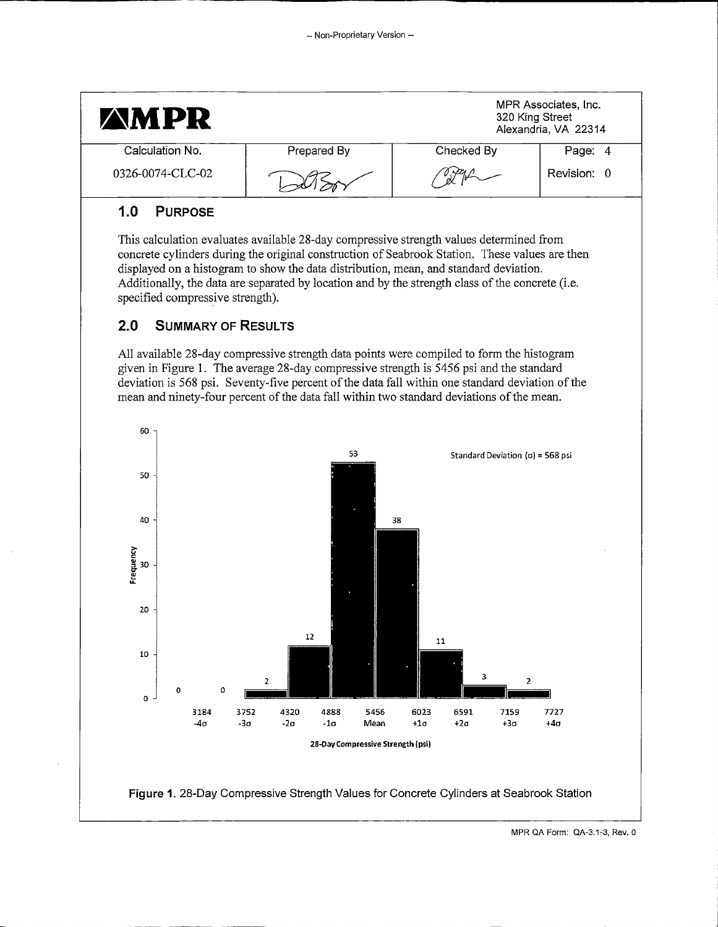|                 | <b>AMPR</b>                      |                    |                                                                                                                                                                                                                                                                                                                                                                                        |                    | MPR Associates, Inc.<br>320 King Street<br>Alexandria, VA 22314 |             |  |  |  |
|-----------------|----------------------------------|--------------------|----------------------------------------------------------------------------------------------------------------------------------------------------------------------------------------------------------------------------------------------------------------------------------------------------------------------------------------------------------------------------------------|--------------------|-----------------------------------------------------------------|-------------|--|--|--|
|                 | Calculation No.                  |                    | Prepared By                                                                                                                                                                                                                                                                                                                                                                            |                    | Checked By                                                      | Page: 4     |  |  |  |
|                 | 0326-0074-CLC-02                 |                    |                                                                                                                                                                                                                                                                                                                                                                                        | Revision: 0        |                                                                 |             |  |  |  |
| 1.0             | <b>PURPOSE</b>                   |                    |                                                                                                                                                                                                                                                                                                                                                                                        |                    |                                                                 |             |  |  |  |
|                 | specified compressive strength). |                    | This calculation evaluates available 28-day compressive strength values determined from<br>concrete cylinders during the original construction of Seabrook Station. These values are then<br>displayed on a histogram to show the data distribution, mean, and standard deviation.<br>Additionally, the data are separated by location and by the strength class of the concrete (i.e. |                    |                                                                 |             |  |  |  |
| 2.0             | <b>SUMMARY OF RESULTS</b>        |                    |                                                                                                                                                                                                                                                                                                                                                                                        |                    |                                                                 |             |  |  |  |
| 60              |                                  |                    | deviation is 568 psi. Seventy-five percent of the data fall within one standard deviation of the<br>mean and ninety-four percent of the data fall within two standard deviations of the mean.                                                                                                                                                                                          |                    |                                                                 |             |  |  |  |
|                 |                                  |                    | 53                                                                                                                                                                                                                                                                                                                                                                                     |                    | Standard Deviation $(a)$ = 568 psi                              |             |  |  |  |
| 50              |                                  |                    |                                                                                                                                                                                                                                                                                                                                                                                        |                    |                                                                 |             |  |  |  |
| 40              |                                  |                    |                                                                                                                                                                                                                                                                                                                                                                                        | 38                 |                                                                 |             |  |  |  |
| Frequency<br>30 |                                  |                    |                                                                                                                                                                                                                                                                                                                                                                                        |                    |                                                                 |             |  |  |  |
| 20              |                                  |                    | 12                                                                                                                                                                                                                                                                                                                                                                                     |                    |                                                                 |             |  |  |  |
| 10              |                                  | 2                  |                                                                                                                                                                                                                                                                                                                                                                                        |                    | 11<br>з                                                         | 2           |  |  |  |
|                 | 0<br>0                           |                    |                                                                                                                                                                                                                                                                                                                                                                                        |                    |                                                                 |             |  |  |  |
| 0               | 3184<br>$-4\sigma$               | 3752<br>$-3\sigma$ | 4320<br>4888<br>5456<br>$-2\sigma$<br>-1σ<br>Mean                                                                                                                                                                                                                                                                                                                                      | 6023<br>$+1\sigma$ | 6591<br>7159<br>$+2\sigma$<br>+3σ                               | 7727<br>+4σ |  |  |  |
|                 |                                  |                    |                                                                                                                                                                                                                                                                                                                                                                                        |                    |                                                                 |             |  |  |  |
|                 |                                  |                    | 28-Day Compressive Strength (psi)                                                                                                                                                                                                                                                                                                                                                      |                    |                                                                 |             |  |  |  |

MPR QA Form: QA-3.1-3, Rev. 0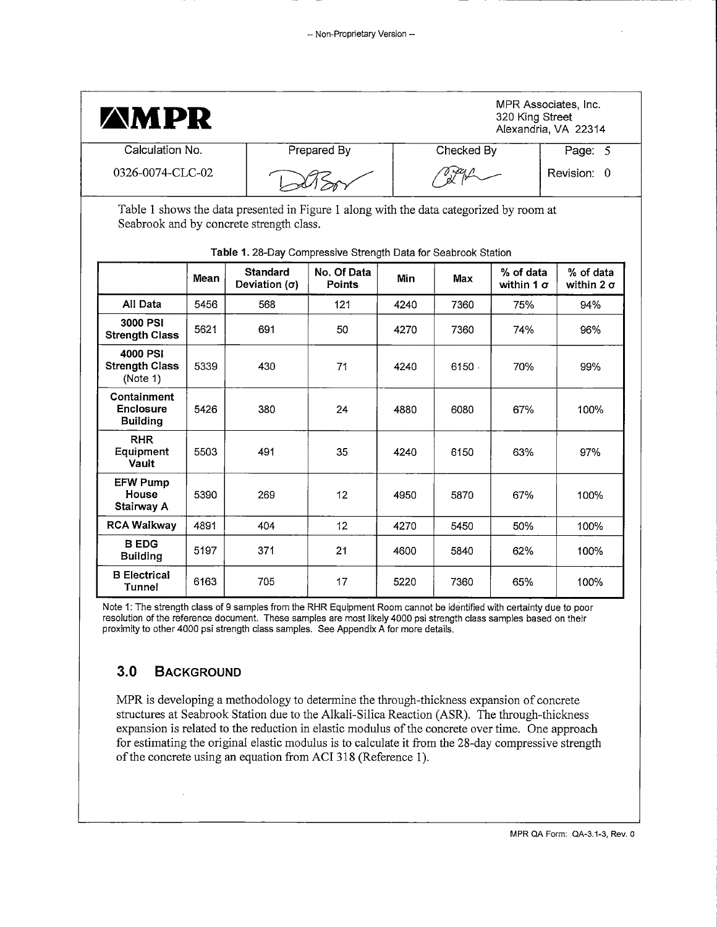| <b>AMPR</b>                                               |                  |                                                                                                                                                                                                       |                       |      |            | 320 King Street                | MPR Associates, Inc.<br>Alexandria, VA 22314 |
|-----------------------------------------------------------|------------------|-------------------------------------------------------------------------------------------------------------------------------------------------------------------------------------------------------|-----------------------|------|------------|--------------------------------|----------------------------------------------|
| Calculation No.                                           |                  |                                                                                                                                                                                                       | Prepared By           |      | Checked By |                                | Page: 5                                      |
|                                                           | 0326-0074-CLC-02 |                                                                                                                                                                                                       |                       |      |            |                                | Revision: 0                                  |
|                                                           |                  | Table 1 shows the data presented in Figure 1 along with the data categorized by room at<br>Seabrook and by concrete strength class.<br>Table 1. 28-Day Compressive Strength Data for Seabrook Station |                       |      |            |                                |                                              |
|                                                           | Mean             | <b>Standard</b><br>Deviation $(\sigma)$                                                                                                                                                               | No. Of Data<br>Points | Min  | Max        | % of data<br>within 1 $\sigma$ | % of data<br>within $2\sigma$                |
| All Data                                                  | 5456             | 568                                                                                                                                                                                                   | 121                   | 4240 | 7360       | 75%                            | 94%                                          |
| 3000 PSI<br><b>Strength Class</b>                         | 5621             | 691                                                                                                                                                                                                   | 50                    | 4270 | 7360       | 74%                            | 96%                                          |
| 4000 PSI<br><b>Strength Class</b><br>(Note 1)             | 5339             | 430                                                                                                                                                                                                   | 71                    | 4240 | 6150.      | 70%                            | 99%                                          |
| <b>Containment</b><br><b>Enclosure</b><br><b>Building</b> | 5426             | 380                                                                                                                                                                                                   | 24                    | 4880 | 6080       | 67%                            | 100%                                         |
| <b>RHR</b><br>Equipment<br>Vault                          | 5503             | 491                                                                                                                                                                                                   | 35                    | 4240 | 6150       | 63%                            | 97%                                          |
| <b>EFW Pump</b><br>House<br>Stairway A                    | 5390             | 269                                                                                                                                                                                                   | 12                    | 4950 | 5870       | 67%                            | 100%                                         |
| <b>RCA Walkway</b>                                        | 4891             | 404                                                                                                                                                                                                   | 12                    | 4270 | 5450       | 50%                            | 100%                                         |
| <b>B EDG</b><br><b>Building</b>                           | 5197             | 371                                                                                                                                                                                                   | 21                    | 4600 | 5840       | 62%                            | 100%                                         |
| <b>B</b> Electrical<br>Tunnel                             | 6163             | 705                                                                                                                                                                                                   | 17                    | 5220 | 7360       | 65%                            | 100%                                         |

Note 1: The strength class of 9 samples from the RHR Equipment Room cannot be identified with certainty due to poor resolution of the reference document. These samples are most likely 4000 psi strength class samples based on their proximity to other 4000 psi strength class samples. See Appendix A for more details.

## **3.0 BACKGROUND**

MPR is developing a methodology to determine the through-thickness expansion of concrete structures at Seabrook Station due to the Alkali-Silica Reaction (ASR). The through-thickness expansion is related to the reduction in elastic modulus of the concrete over time. One approach for estimating the original elastic modulus is to calculate it from the 28-day compressive strength of the concrete using an equation from ACI 318 (Reference 1 ).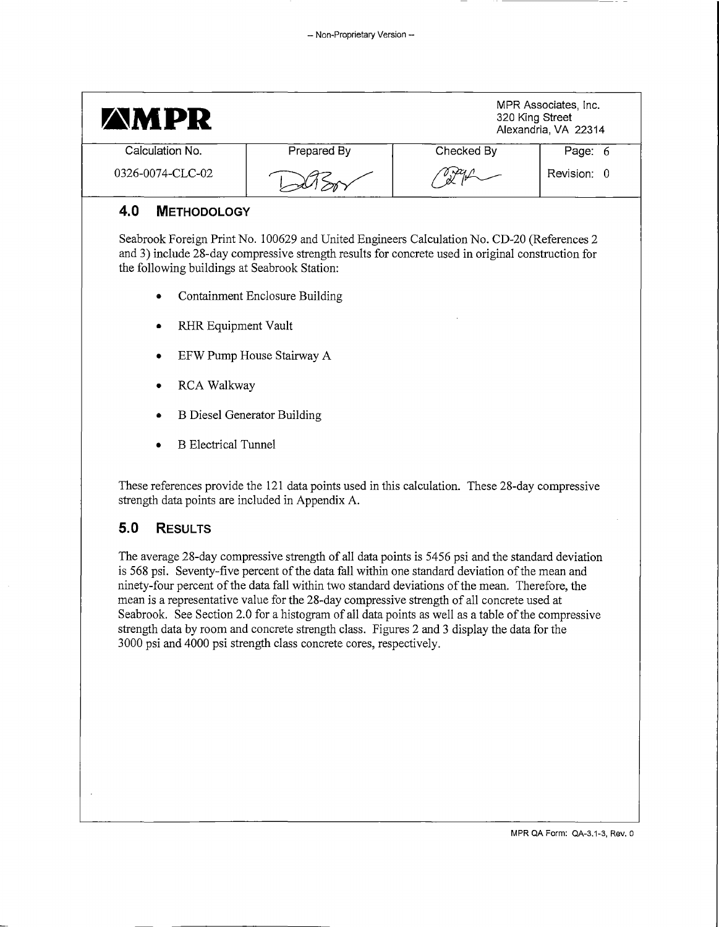| <b>AMPR</b>                                  |                                                                                                                                                                                                  |            | MPR Associates, Inc.<br>320 King Street<br>Alexandria, VA 22314 |
|----------------------------------------------|--------------------------------------------------------------------------------------------------------------------------------------------------------------------------------------------------|------------|-----------------------------------------------------------------|
| Calculation No.                              | Prepared By                                                                                                                                                                                      | Checked By | Page: 6                                                         |
| 0326-0074-CLC-02                             |                                                                                                                                                                                                  |            | Revision: 0                                                     |
| 4.0<br><b>METHODOLOGY</b>                    |                                                                                                                                                                                                  |            |                                                                 |
| the following buildings at Seabrook Station: | Seabrook Foreign Print No. 100629 and United Engineers Calculation No. CD-20 (References 2)<br>and 3) include 28-day compressive strength results for concrete used in original construction for |            |                                                                 |

- Containment Enclosure Building
- RHR Equipment Vault
- EFW Pump House Stairway A
- RCA Walkway
- B Diesel Generator Building
- **B** Electrical Tunnel

These references provide the 121 data points used in this calculation. These 28-day compressive strength data points are included in Appendix A.

## **5.0 RESULTS**

The average 28-day compressive strength of all data points is 5456 psi and the standard deviation is 568 psi. Seventy-five percent of the data fall within one standard deviation of the mean and ninety-four percent of the data fall within two standard deviations of the mean. Therefore, the mean is a representative value for the 28-day compressive strength of all concrete used at Seabrook. See Section 2.0 for a histogram of all data points as well as a table of the compressive strength data by room and concrete strength class. Figures 2 and 3 display the data for the 3000 psi and 4000 psi strength class concrete cores, respectively.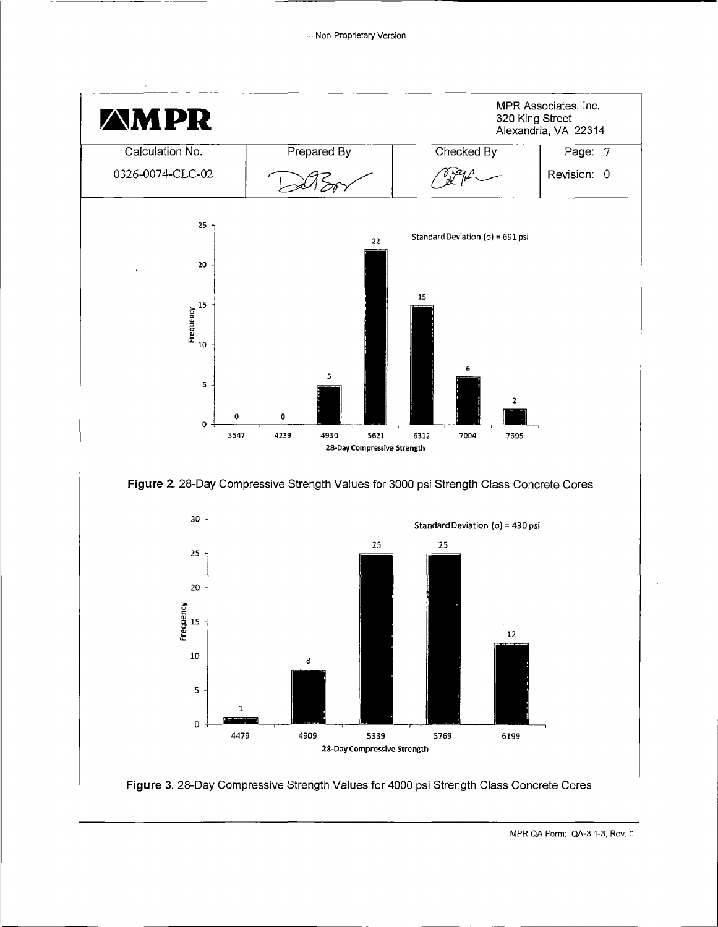

MPR QA Form: QA-3.1-3, Rev. 0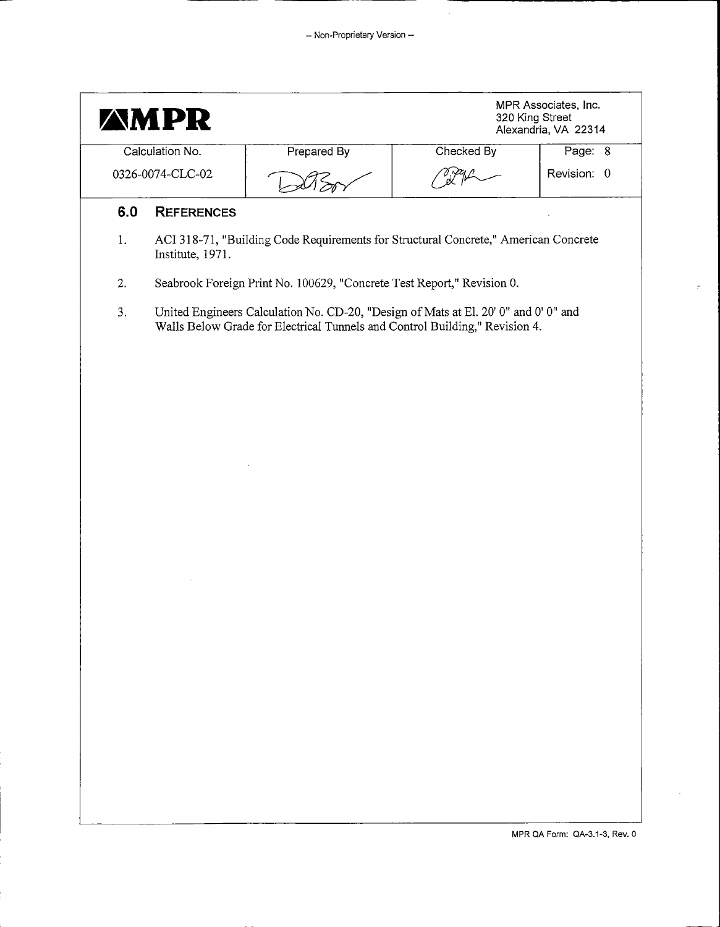|                  | <b>AMPR</b>       |                                                                                                                                                                    |            | MPR Associates, Inc.<br>320 King Street<br>Alexandria, VA 22314 |  |  |  |  |  |
|------------------|-------------------|--------------------------------------------------------------------------------------------------------------------------------------------------------------------|------------|-----------------------------------------------------------------|--|--|--|--|--|
|                  | Calculation No.   | Prepared By                                                                                                                                                        | Checked By | Page: 8                                                         |  |  |  |  |  |
| 0326-0074-CLC-02 |                   |                                                                                                                                                                    |            | Revision: 0                                                     |  |  |  |  |  |
| 6.0              | <b>REFERENCES</b> |                                                                                                                                                                    |            |                                                                 |  |  |  |  |  |
| 1.               | Institute, 1971.  | ACI 318-71, "Building Code Requirements for Structural Concrete," American Concrete                                                                                |            |                                                                 |  |  |  |  |  |
| 2.               |                   | Seabrook Foreign Print No. 100629, "Concrete Test Report," Revision 0.                                                                                             |            |                                                                 |  |  |  |  |  |
| 3.               |                   | United Engineers Calculation No. CD-20, "Design of Mats at El. 20' 0" and 0' 0" and<br>Walls Below Grade for Electrical Tunnels and Control Building," Revision 4. |            |                                                                 |  |  |  |  |  |
|                  |                   |                                                                                                                                                                    |            |                                                                 |  |  |  |  |  |
|                  |                   |                                                                                                                                                                    |            |                                                                 |  |  |  |  |  |
|                  |                   |                                                                                                                                                                    |            |                                                                 |  |  |  |  |  |
|                  |                   |                                                                                                                                                                    |            |                                                                 |  |  |  |  |  |
|                  |                   |                                                                                                                                                                    |            |                                                                 |  |  |  |  |  |
|                  |                   |                                                                                                                                                                    |            |                                                                 |  |  |  |  |  |
|                  |                   |                                                                                                                                                                    |            |                                                                 |  |  |  |  |  |
|                  |                   |                                                                                                                                                                    |            |                                                                 |  |  |  |  |  |
|                  |                   |                                                                                                                                                                    |            |                                                                 |  |  |  |  |  |
|                  |                   |                                                                                                                                                                    |            |                                                                 |  |  |  |  |  |
|                  |                   |                                                                                                                                                                    |            |                                                                 |  |  |  |  |  |
|                  |                   |                                                                                                                                                                    |            |                                                                 |  |  |  |  |  |
|                  |                   |                                                                                                                                                                    |            |                                                                 |  |  |  |  |  |
|                  |                   |                                                                                                                                                                    |            |                                                                 |  |  |  |  |  |
|                  |                   |                                                                                                                                                                    |            |                                                                 |  |  |  |  |  |
|                  |                   |                                                                                                                                                                    |            |                                                                 |  |  |  |  |  |

 $\tilde{\mathcal{C}}$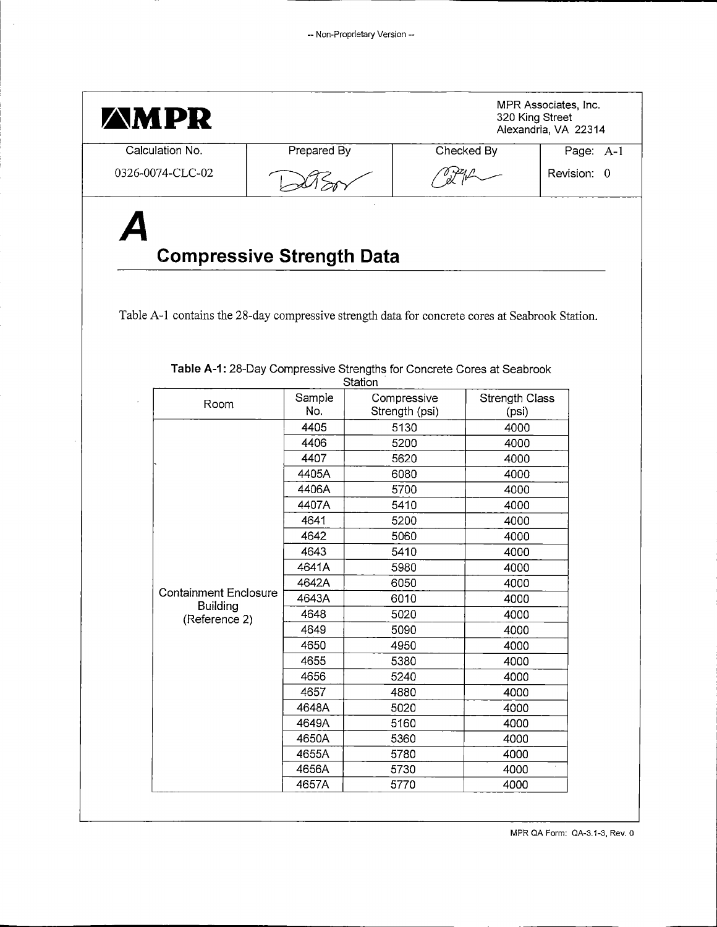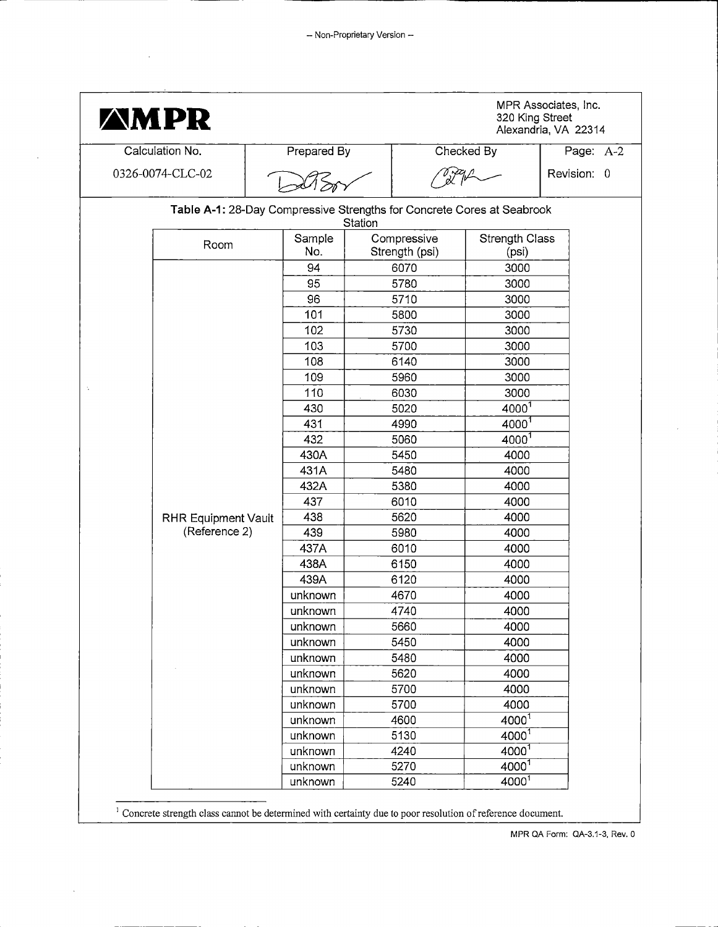| <b>AMPR</b>                |                                                                        |                               | 320 King Street         | MPR Associates, Inc.<br>Alexandria, VA 22314 |
|----------------------------|------------------------------------------------------------------------|-------------------------------|-------------------------|----------------------------------------------|
| Calculation No             | <b>Prepared By</b>                                                     |                               | Checked By              | Page: A-2                                    |
| 0326-0074-CLC-02           |                                                                        |                               |                         | Revision: 0                                  |
|                            | Table A-1: 28-Day Compressive Strengths for Concrete Cores at Seabrook | Station                       |                         |                                              |
| Room                       | Sample<br>No.                                                          | Compressive<br>Strength (psi) | Strength Class<br>(psi) |                                              |
|                            | 94                                                                     | 6070                          | 3000                    |                                              |
|                            | 95                                                                     | 5780                          | 3000                    |                                              |
|                            | 96                                                                     | 5710                          | 3000                    |                                              |
|                            | 101                                                                    | 5800                          | 3000                    |                                              |
|                            | 102                                                                    | 5730                          | 3000                    |                                              |
|                            | 103                                                                    | 5700                          | 3000                    |                                              |
|                            | 108                                                                    | 6140                          | 3000                    |                                              |
|                            | 109                                                                    | 5960                          | 3000                    |                                              |
|                            | 110                                                                    | 6030                          | 3000                    |                                              |
|                            | 430                                                                    | 5020                          | $4000^{1}$              |                                              |
|                            | 431                                                                    | 4990                          | 4000 <sup>1</sup>       |                                              |
|                            | 432                                                                    | 5060                          | 4000 <sup>1</sup>       |                                              |
|                            | 430A                                                                   | 5450                          | 4000                    |                                              |
|                            | 431A                                                                   | 5480                          | 4000                    |                                              |
|                            | 432A                                                                   | 5380                          | 4000                    |                                              |
|                            | 437                                                                    | 6010                          | 4000                    |                                              |
| <b>RHR Equipment Vault</b> | 438                                                                    | 5620                          | 4000                    |                                              |
| (Reference 2)              | 439                                                                    | 5980                          | 4000                    |                                              |
|                            | 437A                                                                   | 6010                          | 4000                    |                                              |
|                            | 438A                                                                   | 6150                          | 4000                    |                                              |
|                            | 439A                                                                   | 6120                          | 4000                    |                                              |
|                            | unknown                                                                | 4670                          | 4000                    |                                              |
|                            | unknown                                                                | 4740                          | 4000                    |                                              |
|                            | unknown                                                                | 5660                          | 4000                    |                                              |
|                            | unknown                                                                | 5450                          | 4000                    |                                              |
|                            | unknown                                                                | 5480                          | 4000                    |                                              |
|                            | unknown                                                                | 5620                          | 4000                    |                                              |
|                            | unknown                                                                | 5700                          | 4000                    |                                              |
|                            | unknown                                                                | 5700                          | 4000                    |                                              |
|                            | unknown                                                                | 4600                          | 4000 <sup>1</sup>       |                                              |
|                            | unknown                                                                | 5130                          | $4000^{1}$              |                                              |
|                            | unknown                                                                | 4240                          | 4000 <sup>1</sup>       |                                              |
|                            | unknown                                                                | 5270                          | 40001                   |                                              |
|                            | unknown                                                                | 5240                          | 40001                   |                                              |

<sup>1</sup> Concrete strength class cannot be determined with certainty due to poor resolution of reference document.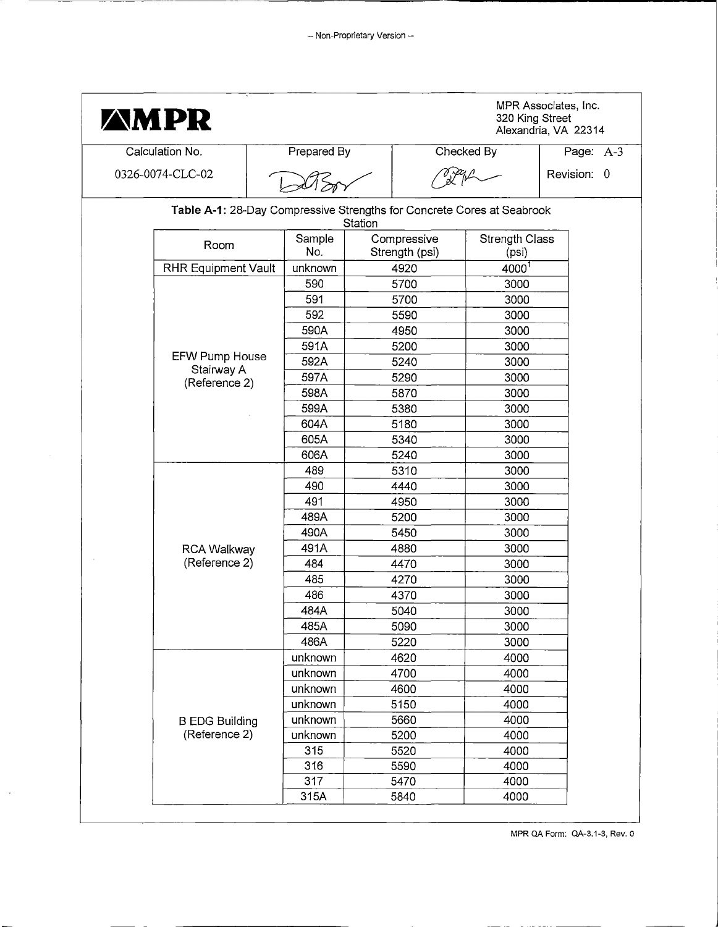| <b>AMPR</b>                 |                                                                        |         |                               | 320 King Street         | MPR Associates, Inc.<br>Alexandria, VA 22314 |
|-----------------------------|------------------------------------------------------------------------|---------|-------------------------------|-------------------------|----------------------------------------------|
| Calculation No.             | Prepared By                                                            |         |                               | Checked By              | Page: A-3                                    |
| 0326-0074-CLC-02            |                                                                        |         |                               |                         | Revision: 0                                  |
|                             | Table A-1: 28-Day Compressive Strengths for Concrete Cores at Seabrook | Station |                               |                         |                                              |
| Room                        | Sample<br>No.                                                          |         | Compressive<br>Strength (psi) | Strength Class<br>(psi) |                                              |
| <b>RHR Equipment Vault</b>  | unknown                                                                |         | 4920                          | 4000 <sup>1</sup>       |                                              |
|                             | 590                                                                    |         | 5700                          | 3000                    |                                              |
|                             | 591                                                                    |         | 5700                          | 3000                    |                                              |
|                             | 592                                                                    |         | 5590                          | 3000                    |                                              |
|                             | 590A                                                                   |         | 4950                          | 3000                    |                                              |
|                             | 591A                                                                   |         | 5200                          | 3000                    |                                              |
| EFW Pump House              | 592A                                                                   |         | 5240                          | 3000                    |                                              |
| Stairway A<br>(Reference 2) | 597A                                                                   |         | 5290                          | 3000                    |                                              |
|                             | 598A                                                                   |         | 5870                          | 3000                    |                                              |
|                             | 599A                                                                   |         | 5380                          | 3000                    |                                              |
|                             | 604A                                                                   |         | 5180                          | 3000                    |                                              |
|                             | 605A                                                                   |         | 5340                          | 3000                    |                                              |
|                             | 606A                                                                   |         | 5240                          | 3000                    |                                              |
|                             | 489                                                                    |         | 5310                          | 3000                    |                                              |
|                             | 490                                                                    |         | 4440                          | 3000                    |                                              |
|                             | 491                                                                    |         | 4950                          | 3000                    |                                              |
|                             | 489A                                                                   |         | 5200                          | 3000                    |                                              |
|                             | 490A                                                                   |         | 5450                          | 3000                    |                                              |
| <b>RCA Walkway</b>          | 491A                                                                   |         | 4880                          | 3000                    |                                              |
| (Reference 2)               | 484                                                                    |         | 4470                          | 3000                    |                                              |
|                             | 485                                                                    |         | 4270                          | 3000                    |                                              |
|                             | 486                                                                    |         | 4370                          | 3000                    |                                              |
|                             | 484A                                                                   |         | 5040                          | 3000                    |                                              |
|                             | 485A                                                                   |         | 5090                          | 3000                    |                                              |
|                             | 486A                                                                   |         | 5220                          | 3000                    |                                              |
|                             | unknown                                                                |         | 4620                          | 4000                    |                                              |
|                             | unknown                                                                |         | 4700                          | 4000                    |                                              |
|                             | unknown                                                                |         | 4600                          | 4000                    |                                              |
|                             | unknown                                                                |         | 5150                          | 4000                    |                                              |
| <b>B EDG Building</b>       | unknown                                                                |         | 5660                          | 4000                    |                                              |
| (Reference 2)               | unknown                                                                |         | 5200                          | 4000                    |                                              |
|                             | 315                                                                    |         | 5520                          | 4000                    |                                              |
|                             | 316                                                                    |         | 5590                          | 4000                    |                                              |
|                             | 317                                                                    |         | 5470                          | 4000                    |                                              |
|                             | 315A                                                                   |         | 5840                          | 4000                    |                                              |

 $\bar{\phantom{a}}$ 

MPR QA Form: QA-3.1-3, Rev. o